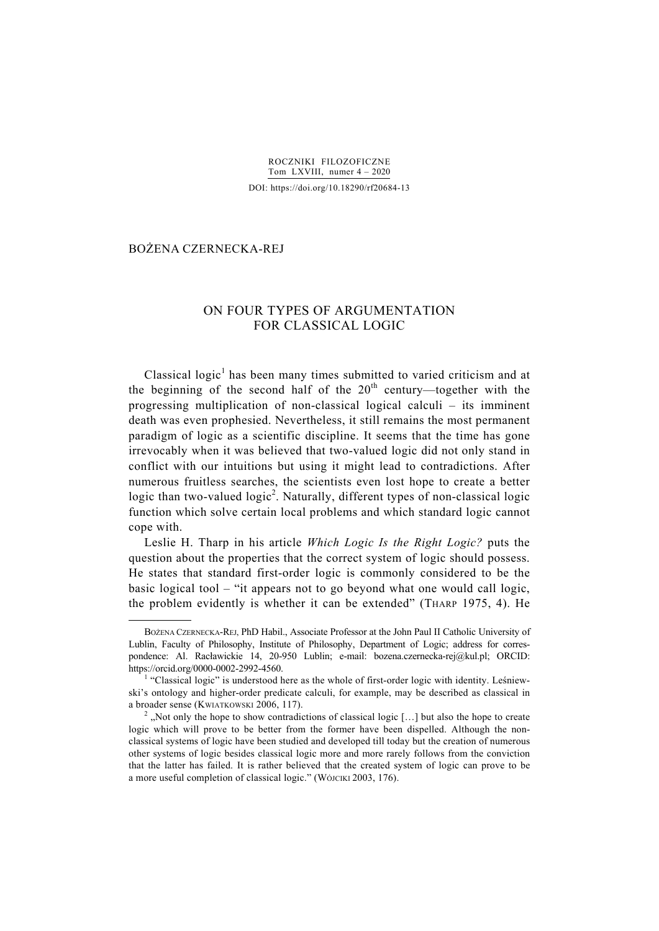ROCZNIKI FILOZOFICZNE Tom LXVIII, numer 4 – 2020

DOI: https://doi.org/10.18290/rf20684-13

## BOŻENA CZERNECKA-REJ \*

1

# ON FOUR TYPES OF ARGUMENTATION FOR CLASSICAL LOGIC

Classical logic<sup>1</sup> has been many times submitted to varied criticism and at the beginning of the second half of the  $20<sup>th</sup>$  century—together with the progressing multiplication of non-classical logical calculi – its imminent death was even prophesied. Nevertheless, it still remains the most permanent paradigm of logic as a scientific discipline. It seems that the time has gone irrevocably when it was believed that two-valued logic did not only stand in conflict with our intuitions but using it might lead to contradictions. After numerous fruitless searches, the scientists even lost hope to create a better logic than two-valued logic<sup>2</sup>. Naturally, different types of non-classical logic function which solve certain local problems and which standard logic cannot cope with.

Leslie H. Tharp in his article *Which Logic Is the Right Logic?* puts the question about the properties that the correct system of logic should possess. He states that standard first-order logic is commonly considered to be the basic logical tool – "it appears not to go beyond what one would call logic, the problem evidently is whether it can be extended" (THARP 1975, 4). He

BOŻENA CZERNECKA-REJ, PhD Habil., Associate Professor at the John Paul II Catholic University of Lublin, Faculty of Philosophy, Institute of Philosophy, Department of Logic; address for correspondence: Al. Racławickie 14, 20-950 Lublin; e-mail: bozena.czernecka-rej@kul.pl; ORCID: https://orcid.org/0000-0002-2992-4560. 1

 $<sup>1</sup>$  "Classical logic" is understood here as the whole of first-order logic with identity. Leśniew-</sup> ski's ontology and higher-order predicate calculi, for example, may be described as classical in a broader sense (KWIATKOWSKI 2006, 117).

 $2^2$ , Not only the hope to show contradictions of classical logic [...] but also the hope to create logic which will prove to be better from the former have been dispelled. Although the nonclassical systems of logic have been studied and developed till today but the creation of numerous other systems of logic besides classical logic more and more rarely follows from the conviction that the latter has failed. It is rather believed that the created system of logic can prove to be a more useful completion of classical logic." (WÓJCIKI 2003, 176).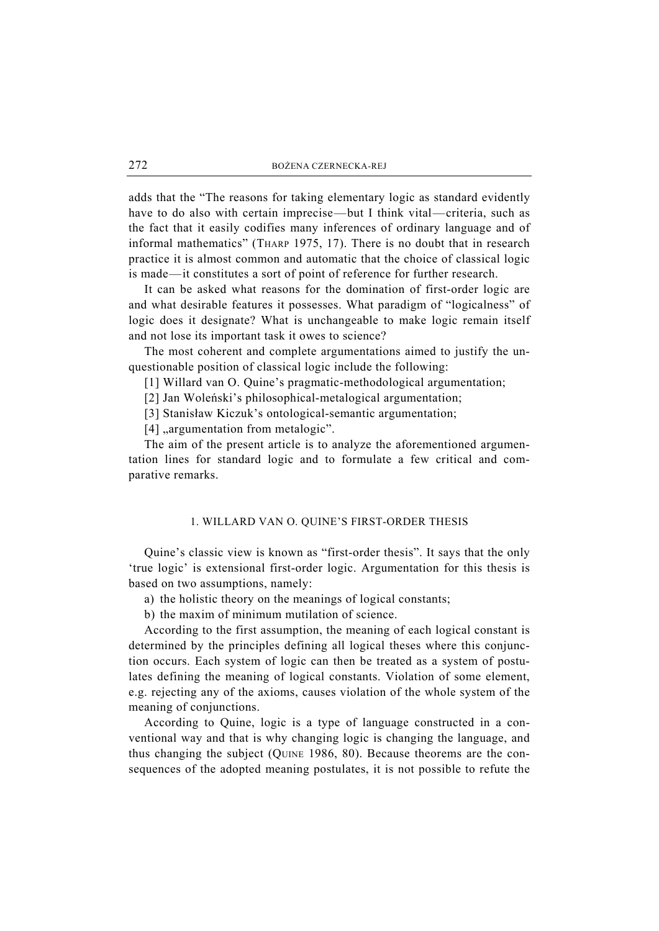adds that the "The reasons for taking elementary logic as standard evidently have to do also with certain imprecise—but I think vital—criteria, such as the fact that it easily codifies many inferences of ordinary language and of informal mathematics" (THARP 1975, 17). There is no doubt that in research practice it is almost common and automatic that the choice of classical logic is made—it constitutes a sort of point of reference for further research.

It can be asked what reasons for the domination of first-order logic are and what desirable features it possesses. What paradigm of "logicalness" of logic does it designate? What is unchangeable to make logic remain itself and not lose its important task it owes to science?

The most coherent and complete argumentations aimed to justify the unquestionable position of classical logic include the following:

[1] Willard van O. Quine's pragmatic-methodological argumentation;

[2] Jan Woleński's philosophical-metalogical argumentation;

[3] Stanisław Kiczuk's ontological-semantic argumentation;

[4] "argumentation from metalogic".

The aim of the present article is to analyze the aforementioned argumentation lines for standard logic and to formulate a few critical and comparative remarks.

#### 1. WILLARD VAN O. QUINE'S FIRST-ORDER THESIS

Quine's classic view is known as "first-order thesis". It says that the only 'true logic' is extensional first-order logic. Argumentation for this thesis is based on two assumptions, namely:

a) the holistic theory on the meanings of logical constants;

b) the maxim of minimum mutilation of science.

According to the first assumption, the meaning of each logical constant is determined by the principles defining all logical theses where this conjunction occurs. Each system of logic can then be treated as a system of postulates defining the meaning of logical constants. Violation of some element, e.g. rejecting any of the axioms, causes violation of the whole system of the meaning of conjunctions.

According to Quine, logic is a type of language constructed in a conventional way and that is why changing logic is changing the language, and thus changing the subject (QUINE 1986, 80). Because theorems are the consequences of the adopted meaning postulates, it is not possible to refute the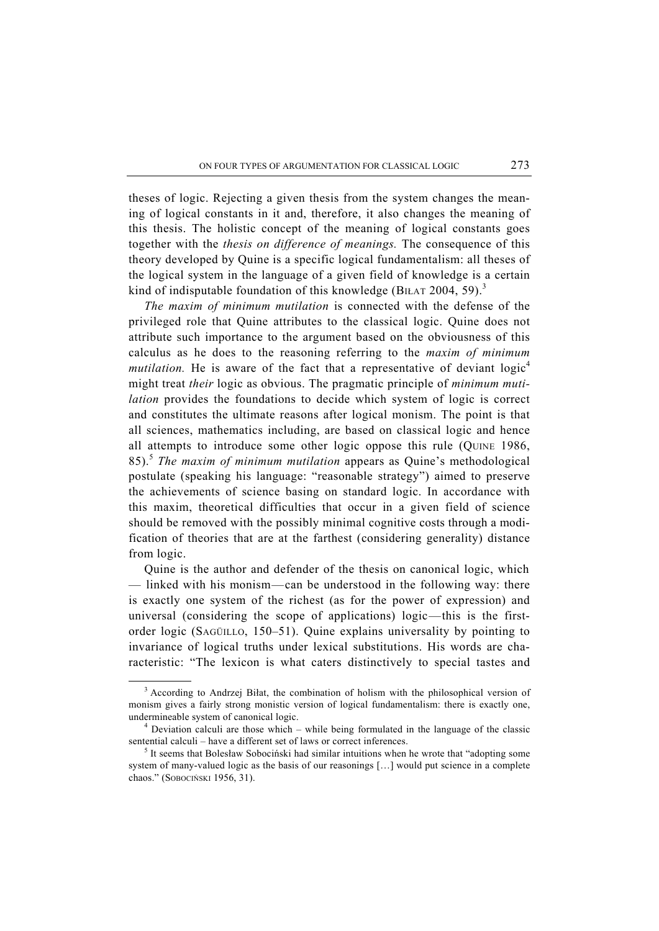theses of logic. Rejecting a given thesis from the system changes the meaning of logical constants in it and, therefore, it also changes the meaning of this thesis. The holistic concept of the meaning of logical constants goes together with the *thesis on difference of meanings.* The consequence of this theory developed by Quine is a specific logical fundamentalism: all theses of the logical system in the language of a given field of knowledge is a certain kind of indisputable foundation of this knowledge (BILAT 2004, 59).<sup>3</sup>

*The maxim of minimum mutilation* is connected with the defense of the privileged role that Quine attributes to the classical logic. Quine does not attribute such importance to the argument based on the obviousness of this calculus as he does to the reasoning referring to the *maxim of minimum mutilation.* He is aware of the fact that a representative of deviant logic<sup>4</sup> might treat *their* logic as obvious. The pragmatic principle of *minimum mutilation* provides the foundations to decide which system of logic is correct and constitutes the ultimate reasons after logical monism. The point is that all sciences, mathematics including, are based on classical logic and hence all attempts to introduce some other logic oppose this rule (QUINE 1986, 85).<sup>5</sup> *The maxim of minimum mutilation* appears as Quine's methodological postulate (speaking his language: "reasonable strategy") aimed to preserve the achievements of science basing on standard logic. In accordance with this maxim, theoretical difficulties that occur in a given field of science should be removed with the possibly minimal cognitive costs through a modification of theories that are at the farthest (considering generality) distance from logic.

Quine is the author and defender of the thesis on canonical logic, which — linked with his monism—can be understood in the following way: there is exactly one system of the richest (as for the power of expression) and universal (considering the scope of applications) logic—this is the firstorder logic (SAGÜILLO, 150–51). Quine explains universality by pointing to invariance of logical truths under lexical substitutions. His words are characteristic: "The lexicon is what caters distinctively to special tastes and

 $\frac{1}{3}$  $3$  According to Andrzej Biłat, the combination of holism with the philosophical version of monism gives a fairly strong monistic version of logical fundamentalism: there is exactly one, undermineable system of canonical logic. 4

Deviation calculi are those which – while being formulated in the language of the classic sentential calculi – have a different set of laws or correct inferences.

<sup>&</sup>lt;sup>5</sup> It seems that Bolesław Sobociński had similar intuitions when he wrote that "adopting some system of many-valued logic as the basis of our reasonings […] would put science in a complete chaos." (SOBOCIŃSKI 1956, 31).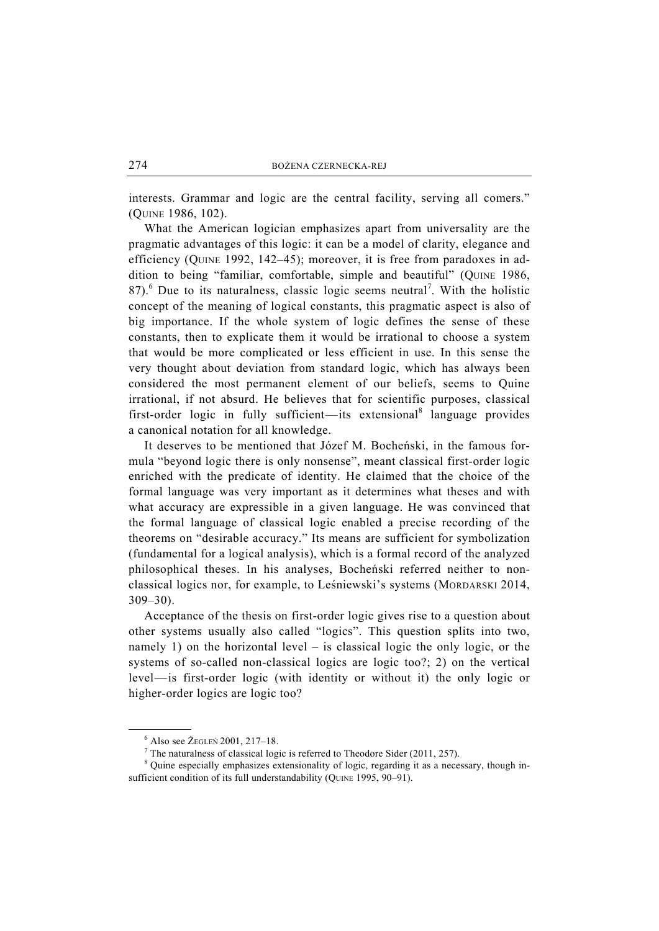interests. Grammar and logic are the central facility, serving all comers." (QUINE 1986, 102).

What the American logician emphasizes apart from universality are the pragmatic advantages of this logic: it can be a model of clarity, elegance and efficiency (QUINE 1992, 142–45); moreover, it is free from paradoxes in addition to being "familiar, comfortable, simple and beautiful" (QUINE 1986, 87). $<sup>6</sup>$  Due to its naturalness, classic logic seems neutral<sup>7</sup>. With the holistic</sup> concept of the meaning of logical constants, this pragmatic aspect is also of big importance. If the whole system of logic defines the sense of these constants, then to explicate them it would be irrational to choose a system that would be more complicated or less efficient in use. In this sense the very thought about deviation from standard logic, which has always been considered the most permanent element of our beliefs, seems to Quine irrational, if not absurd. He believes that for scientific purposes, classical first-order logic in fully sufficient—its extensional<sup>8</sup> language provides a canonical notation for all knowledge.

It deserves to be mentioned that Józef M. Bocheński, in the famous formula "beyond logic there is only nonsense", meant classical first-order logic enriched with the predicate of identity. He claimed that the choice of the formal language was very important as it determines what theses and with what accuracy are expressible in a given language. He was convinced that the formal language of classical logic enabled a precise recording of the theorems on "desirable accuracy." Its means are sufficient for symbolization (fundamental for a logical analysis), which is a formal record of the analyzed philosophical theses. In his analyses, Bocheński referred neither to nonclassical logics nor, for example, to Leśniewski's systems (MORDARSKI 2014, 309–30).

Acceptance of the thesis on first-order logic gives rise to a question about other systems usually also called "logics". This question splits into two, namely 1) on the horizontal level – is classical logic the only logic, or the systems of so-called non-classical logics are logic too?; 2) on the vertical level—is first-order logic (with identity or without it) the only logic or higher-order logics are logic too?

 $\frac{1}{6}$  $6$  Also see  $\dot{Z}$ EGLEŃ 2001, 217-18.

 $\frac{7}{1}$  The naturalness of classical logic is referred to Theodore Sider (2011, 257).

<sup>&</sup>lt;sup>8</sup> Quine especially emphasizes extensionality of logic, regarding it as a necessary, though insufficient condition of its full understandability (QUINE 1995, 90-91).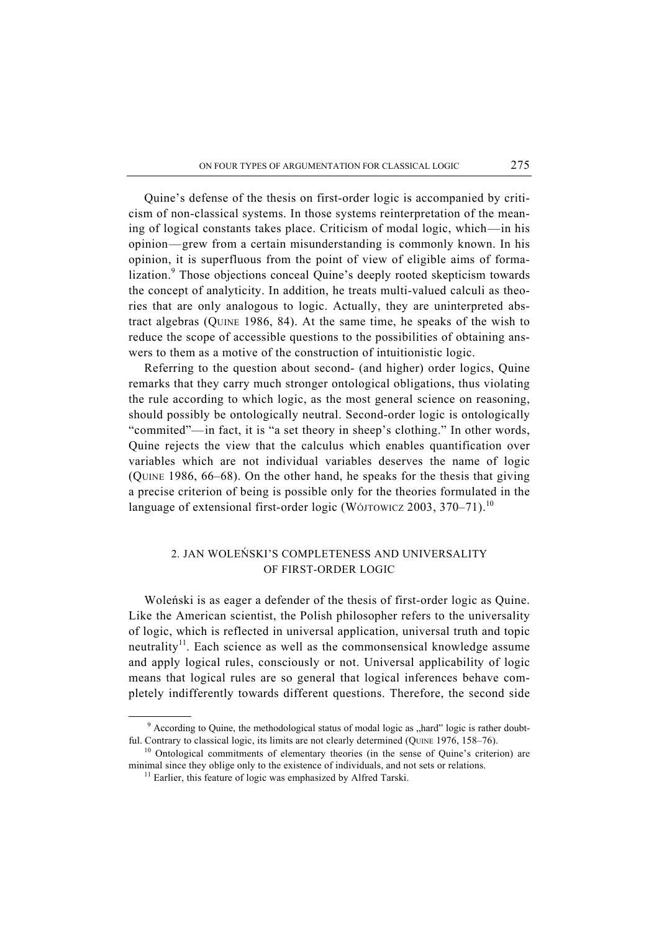Quine's defense of the thesis on first-order logic is accompanied by criticism of non-classical systems. In those systems reinterpretation of the meaning of logical constants takes place. Criticism of modal logic, which—in his opinion—grew from a certain misunderstanding is commonly known. In his opinion, it is superfluous from the point of view of eligible aims of formalization.<sup>9</sup> Those objections conceal Quine's deeply rooted skepticism towards the concept of analyticity. In addition, he treats multi-valued calculi as theories that are only analogous to logic. Actually, they are uninterpreted abstract algebras (QUINE 1986, 84). At the same time, he speaks of the wish to reduce the scope of accessible questions to the possibilities of obtaining answers to them as a motive of the construction of intuitionistic logic.

Referring to the question about second- (and higher) order logics, Quine remarks that they carry much stronger ontological obligations, thus violating the rule according to which logic, as the most general science on reasoning, should possibly be ontologically neutral. Second-order logic is ontologically "commited"—in fact, it is "a set theory in sheep's clothing." In other words, Quine rejects the view that the calculus which enables quantification over variables which are not individual variables deserves the name of logic (QUINE 1986, 66–68). On the other hand, he speaks for the thesis that giving a precise criterion of being is possible only for the theories formulated in the language of extensional first-order logic (WÓJTOWICZ 2003,  $370-71$ ).<sup>10</sup>

## 2. JAN WOLEŃSKI'S COMPLETENESS AND UNIVERSALITY OF FIRST-ORDER LOGIC

Woleński is as eager a defender of the thesis of first-order logic as Quine. Like the American scientist, the Polish philosopher refers to the universality of logic, which is reflected in universal application, universal truth and topic neutrality<sup>11</sup>. Each science as well as the commonsensical knowledge assume and apply logical rules, consciously or not. Universal applicability of logic means that logical rules are so general that logical inferences behave completely indifferently towards different questions. Therefore, the second side

 $\frac{1}{9}$ <sup>9</sup> According to Quine, the methodological status of modal logic as "hard" logic is rather doubtful. Contrary to classical logic, its limits are not clearly determined (QUINE 1976, 158–76).<br><sup>10</sup> Ontological commitments of elementary theories (in the sense of Quine's criterion) are

minimal since they oblige only to the existence of individuals, and not sets or relations.<br><sup>11</sup> Earlier, this feature of logic was emphasized by Alfred Tarski.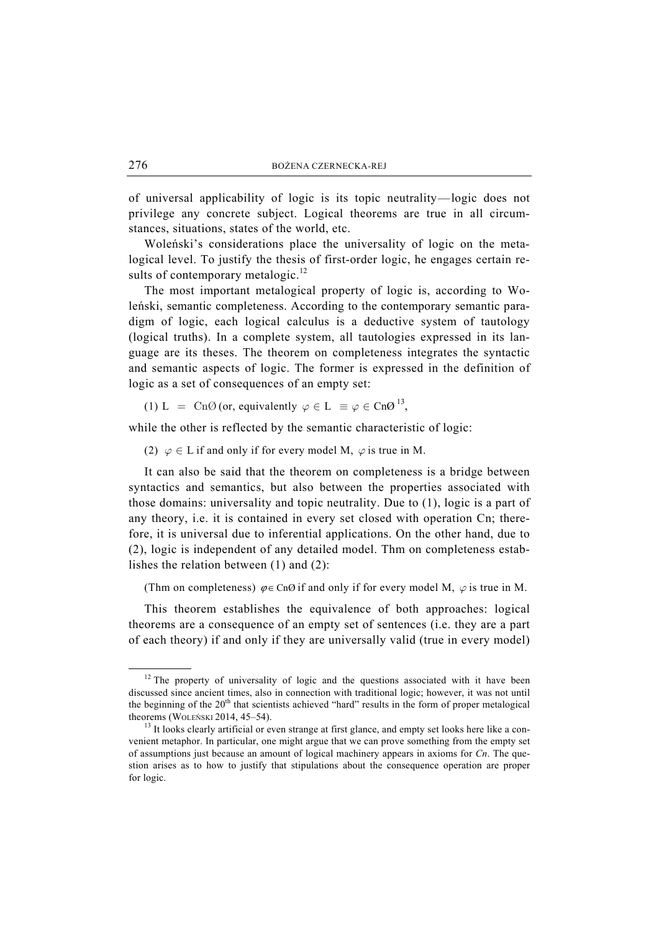of universal applicability of logic is its topic neutrality—logic does not privilege any concrete subject. Logical theorems are true in all circumstances, situations, states of the world, etc.

Woleński's considerations place the universality of logic on the metalogical level. To justify the thesis of first-order logic, he engages certain results of contemporary metalogic.<sup>12</sup>

The most important metalogical property of logic is, according to Woleński, semantic completeness. According to the contemporary semantic paradigm of logic, each logical calculus is a deductive system of tautology (logical truths). In a complete system, all tautologies expressed in its language are its theses. The theorem on completeness integrates the syntactic and semantic aspects of logic. The former is expressed in the definition of logic as a set of consequences of an empty set:

(1) L = Cn $\emptyset$  (or, equivalently  $\varphi \in L \equiv \varphi \in Cn\mathcal{O}^{13}$ ,

while the other is reflected by the semantic characteristic of logic:

(2)  $\varphi \in L$  if and only if for every model M,  $\varphi$  is true in M.

It can also be said that the theorem on completeness is a bridge between syntactics and semantics, but also between the properties associated with those domains: universality and topic neutrality. Due to (1), logic is a part of any theory, i.e. it is contained in every set closed with operation Cn; therefore, it is universal due to inferential applications. On the other hand, due to (2), logic is independent of any detailed model. Thm on completeness establishes the relation between (1) and (2):

(Thm on completeness)  $\varphi \in \text{Cn}\varnothing$  if and only if for every model M,  $\varphi$  is true in M.

This theorem establishes the equivalence of both approaches: logical theorems are a consequence of an empty set of sentences (i.e. they are a part of each theory) if and only if they are universally valid (true in every model)

 $12$  The property of universality of logic and the questions associated with it have been discussed since ancient times, also in connection with traditional logic; however, it was not until the beginning of the 20<sup>th</sup> that scientists achieved "hard" results in the form of proper metalogical theorems (WOLEŃSKI 2014, 45–54).<br><sup>13</sup> It looks clearly artificial or even strange at first glance, and empty set looks here like a con-

venient metaphor. In particular, one might argue that we can prove something from the empty set of assumptions just because an amount of logical machinery appears in axioms for *Cn*. The question arises as to how to justify that stipulations about the consequence operation are proper for logic.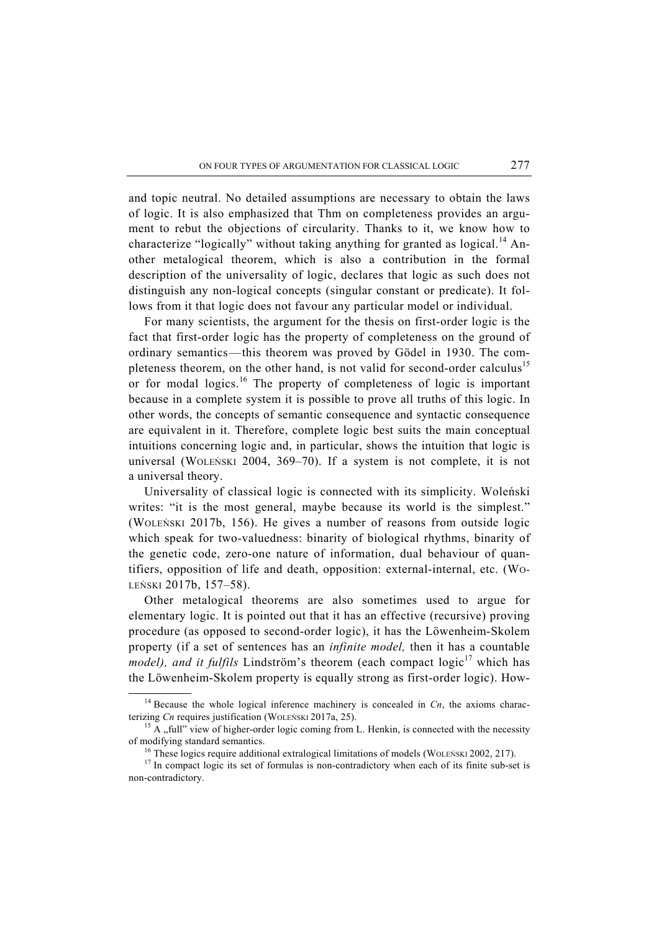and topic neutral. No detailed assumptions are necessary to obtain the laws of logic. It is also emphasized that Thm on completeness provides an argument to rebut the objections of circularity. Thanks to it, we know how to characterize "logically" without taking anything for granted as logical.<sup>14</sup> Another metalogical theorem, which is also a contribution in the formal description of the universality of logic, declares that logic as such does not distinguish any non-logical concepts (singular constant or predicate). It follows from it that logic does not favour any particular model or individual.

For many scientists, the argument for the thesis on first-order logic is the fact that first-order logic has the property of completeness on the ground of ordinary semantics—this theorem was proved by Gödel in 1930. The completeness theorem, on the other hand, is not valid for second-order calculus<sup>15</sup> or for modal logics.<sup>16</sup> The property of completeness of logic is important because in a complete system it is possible to prove all truths of this logic. In other words, the concepts of semantic consequence and syntactic consequence are equivalent in it. Therefore, complete logic best suits the main conceptual intuitions concerning logic and, in particular, shows the intuition that logic is universal (WOLEŃSKI 2004, 369–70). If a system is not complete, it is not a universal theory.

Universality of classical logic is connected with its simplicity. Woleński writes: "it is the most general, maybe because its world is the simplest." (WOLEŃSKI 2017b, 156). He gives a number of reasons from outside logic which speak for two-valuedness: binarity of biological rhythms, binarity of the genetic code, zero-one nature of information, dual behaviour of quantifiers, opposition of life and death, opposition: external-internal, etc. (WO-LEŃSKI 2017b, 157–58).

Other metalogical theorems are also sometimes used to argue for elementary logic. It is pointed out that it has an effective (recursive) proving procedure (as opposed to second-order logic), it has the Löwenheim-Skolem property (if a set of sentences has an *infinite model,* then it has a countable *model), and it fulfils Lindström's theorem (each compact logic*<sup>17</sup> which has the Löwenheim-Skolem property is equally strong as first-order logic). How-

<sup>&</sup>lt;sup>14</sup> Because the whole logical inference machinery is concealed in  $C_n$ , the axioms characterizing *Cn* requires justification (WOLEŃSKI 2017a, 25).<br><sup>15</sup> A "full" view of higher-order logic coming from L. Henkin, is connected with the necessity

of modifying standard semantics.<br><sup>16</sup> These logics require additional extralogical limitations of models (WOLEŃSKI 2002, 217).<br><sup>17</sup> In compact logic its set of formulas is non-contradictory when each of its finite sub-set

non-contradictory.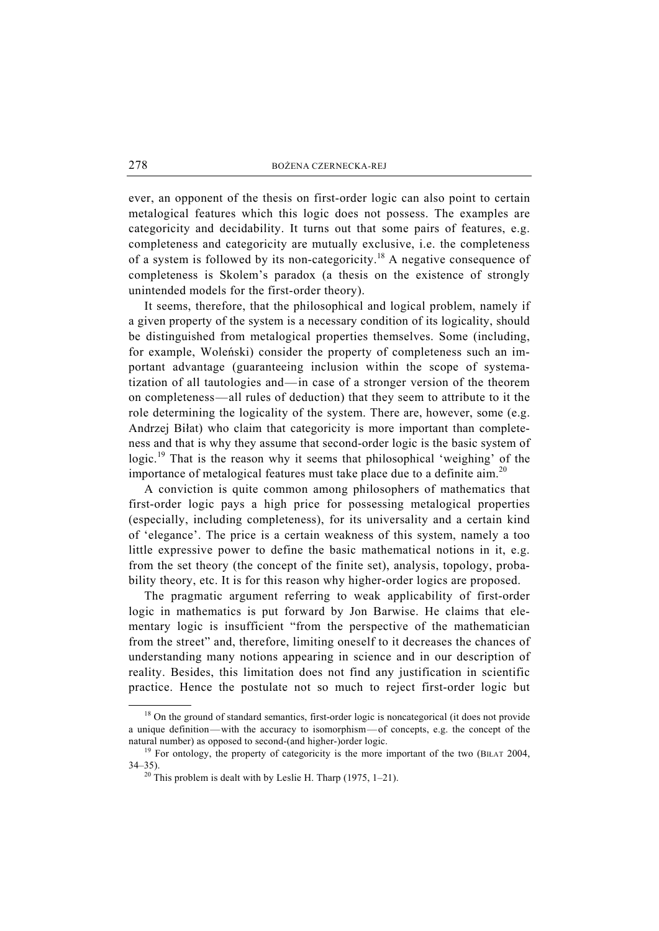ever, an opponent of the thesis on first-order logic can also point to certain metalogical features which this logic does not possess. The examples are categoricity and decidability. It turns out that some pairs of features, e.g. completeness and categoricity are mutually exclusive, i.e. the completeness of a system is followed by its non-categoricity.<sup>18</sup> A negative consequence of completeness is Skolem's paradox (a thesis on the existence of strongly unintended models for the first-order theory).

It seems, therefore, that the philosophical and logical problem, namely if a given property of the system is a necessary condition of its logicality, should be distinguished from metalogical properties themselves. Some (including, for example, Woleński) consider the property of completeness such an important advantage (guaranteeing inclusion within the scope of systematization of all tautologies and—in case of a stronger version of the theorem on completeness—all rules of deduction) that they seem to attribute to it the role determining the logicality of the system. There are, however, some (e.g. Andrzej Biłat) who claim that categoricity is more important than completeness and that is why they assume that second-order logic is the basic system of logic.<sup>19</sup> That is the reason why it seems that philosophical 'weighing' of the importance of metalogical features must take place due to a definite aim.<sup>20</sup>

A conviction is quite common among philosophers of mathematics that first-order logic pays a high price for possessing metalogical properties (especially, including completeness), for its universality and a certain kind of 'elegance'. The price is a certain weakness of this system, namely a too little expressive power to define the basic mathematical notions in it, e.g. from the set theory (the concept of the finite set), analysis, topology, probability theory, etc. It is for this reason why higher-order logics are proposed.

The pragmatic argument referring to weak applicability of first-order logic in mathematics is put forward by Jon Barwise. He claims that elementary logic is insufficient "from the perspective of the mathematician from the street" and, therefore, limiting oneself to it decreases the chances of understanding many notions appearing in science and in our description of reality. Besides, this limitation does not find any justification in scientific practice. Hence the postulate not so much to reject first-order logic but

 $18$  On the ground of standard semantics, first-order logic is noncategorical (it does not provide a unique definition—with the accuracy to isomorphism—of concepts, e.g. the concept of the natural number) as opposed to second-(and higher-)order logic.<br><sup>19</sup> For ontology, the property of categoricity is the more important of the two (BIŁAT 2004,

 $34-35$ ).<br><sup>20</sup> This problem is dealt with by Leslie H. Tharp (1975, 1–21).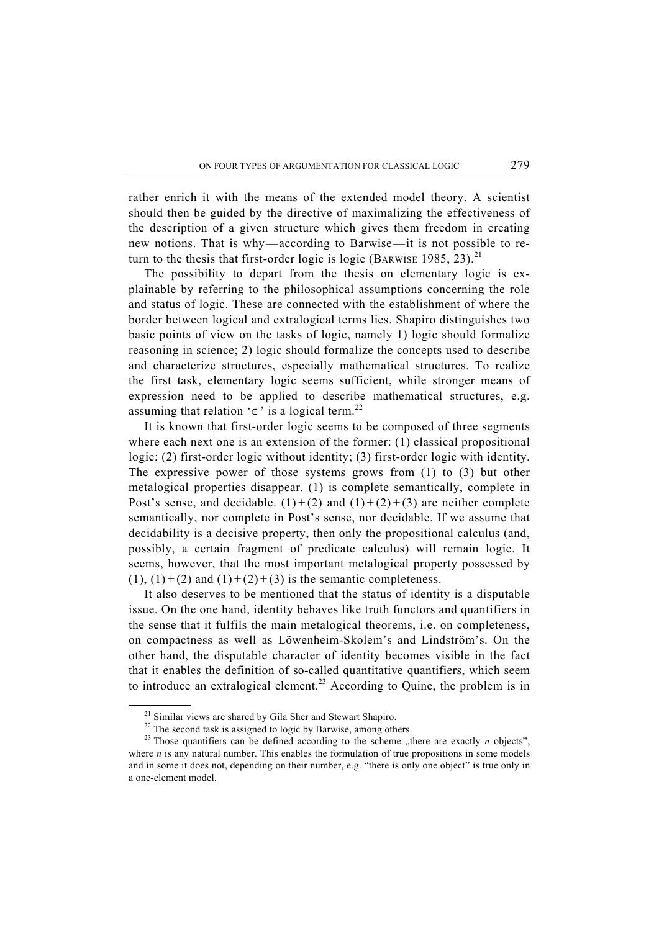rather enrich it with the means of the extended model theory. A scientist should then be guided by the directive of maximalizing the effectiveness of the description of a given structure which gives them freedom in creating new notions. That is why—according to Barwise—it is not possible to return to the thesis that first-order logic is logic (BARWISE 1985, 23).<sup>21</sup>

The possibility to depart from the thesis on elementary logic is explainable by referring to the philosophical assumptions concerning the role and status of logic. These are connected with the establishment of where the border between logical and extralogical terms lies. Shapiro distinguishes two basic points of view on the tasks of logic, namely 1) logic should formalize reasoning in science; 2) logic should formalize the concepts used to describe and characterize structures, especially mathematical structures. To realize the first task, elementary logic seems sufficient, while stronger means of expression need to be applied to describe mathematical structures, e.g. assuming that relation '∈' is a logical term.<sup>22</sup>

It is known that first-order logic seems to be composed of three segments where each next one is an extension of the former: (1) classical propositional logic; (2) first-order logic without identity; (3) first-order logic with identity. The expressive power of those systems grows from (1) to (3) but other metalogical properties disappear. (1) is complete semantically, complete in Post's sense, and decidable.  $(1)+(2)$  and  $(1)+(2)+(3)$  are neither complete semantically, nor complete in Post's sense, nor decidable. If we assume that decidability is a decisive property, then only the propositional calculus (and, possibly, a certain fragment of predicate calculus) will remain logic. It seems, however, that the most important metalogical property possessed by  $(1)$ ,  $(1)+(2)$  and  $(1)+(2)+(3)$  is the semantic completeness.

It also deserves to be mentioned that the status of identity is a disputable issue. On the one hand, identity behaves like truth functors and quantifiers in the sense that it fulfils the main metalogical theorems, i.e. on completeness, on compactness as well as Löwenheim-Skolem's and Lindström's. On the other hand, the disputable character of identity becomes visible in the fact that it enables the definition of so-called quantitative quantifiers, which seem to introduce an extralogical element.<sup>23</sup> According to Quine, the problem is in

<sup>&</sup>lt;sup>21</sup> Similar views are shared by Gila Sher and Stewart Shapiro.

<sup>&</sup>lt;sup>22</sup> The second task is assigned to logic by Barwise, among others.

<sup>&</sup>lt;sup>23</sup> Those quantifiers can be defined according to the scheme "there are exactly  $n$  objects", where  $n$  is any natural number. This enables the formulation of true propositions in some models and in some it does not, depending on their number, e.g. "there is only one object" is true only in a one-element model.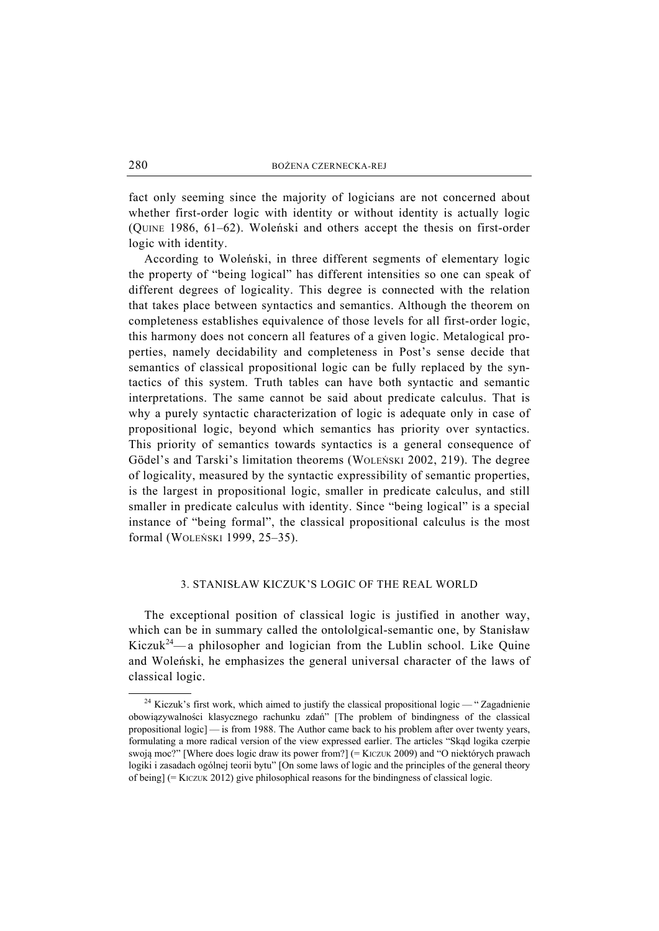fact only seeming since the majority of logicians are not concerned about whether first-order logic with identity or without identity is actually logic (QUINE 1986, 61–62). Woleński and others accept the thesis on first-order logic with identity.

According to Woleński, in three different segments of elementary logic the property of "being logical" has different intensities so one can speak of different degrees of logicality. This degree is connected with the relation that takes place between syntactics and semantics. Although the theorem on completeness establishes equivalence of those levels for all first-order logic, this harmony does not concern all features of a given logic. Metalogical properties, namely decidability and completeness in Post's sense decide that semantics of classical propositional logic can be fully replaced by the syntactics of this system. Truth tables can have both syntactic and semantic interpretations. The same cannot be said about predicate calculus. That is why a purely syntactic characterization of logic is adequate only in case of propositional logic, beyond which semantics has priority over syntactics. This priority of semantics towards syntactics is a general consequence of Gödel's and Tarski's limitation theorems (WOLEŃSKI 2002, 219). The degree of logicality, measured by the syntactic expressibility of semantic properties, is the largest in propositional logic, smaller in predicate calculus, and still smaller in predicate calculus with identity. Since "being logical" is a special instance of "being formal", the classical propositional calculus is the most formal (WOLEŃSKI 1999, 25–35).

### 3. STANISŁAW KICZUK'S LOGIC OF THE REAL WORLD

The exceptional position of classical logic is justified in another way, which can be in summary called the ontololgical-semantic one, by Stanisław Kiczuk<sup>24</sup>— a philosopher and logician from the Lublin school. Like Quine and Woleński, he emphasizes the general universal character of the laws of classical logic.

<sup>&</sup>lt;sup>24</sup> Kiczuk's first work, which aimed to justify the classical propositional logic — "Zagadnienie" obowiązywalności klasycznego rachunku zdań" [The problem of bindingness of the classical propositional logic] — is from 1988. The Author came back to his problem after over twenty years, formulating a more radical version of the view expressed earlier. The articles "Skąd logika czerpie swoją moc?" [Where does logic draw its power from?] (= KICZUK 2009) and "O niektórych prawach logiki i zasadach ogólnej teorii bytu" [On some laws of logic and the principles of the general theory of being] (= KICZUK 2012) give philosophical reasons for the bindingness of classical logic.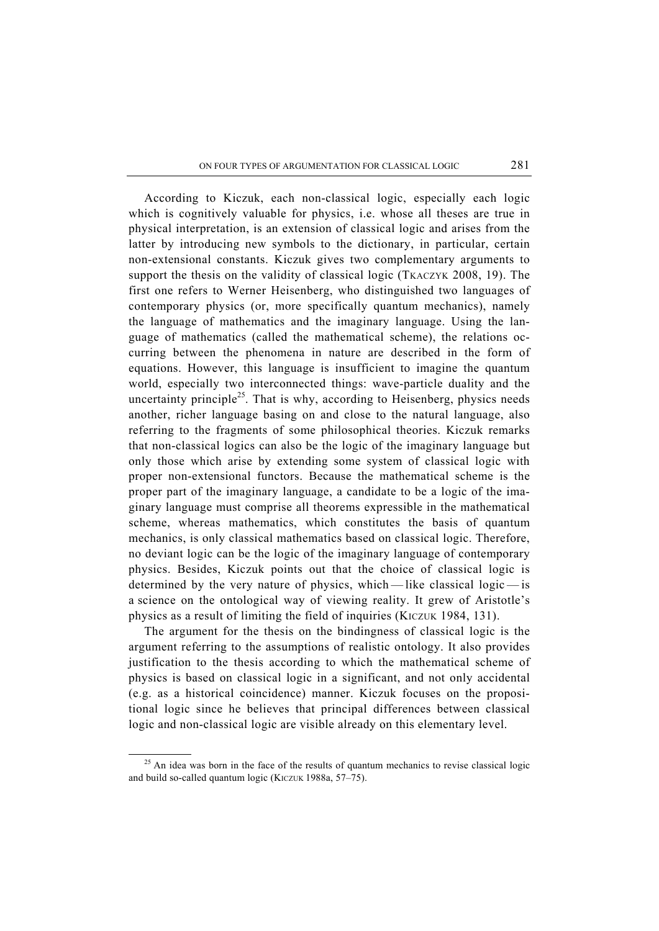According to Kiczuk, each non-classical logic, especially each logic which is cognitively valuable for physics, i.e. whose all theses are true in physical interpretation, is an extension of classical logic and arises from the latter by introducing new symbols to the dictionary, in particular, certain non-extensional constants. Kiczuk gives two complementary arguments to support the thesis on the validity of classical logic (TKACZYK 2008, 19). The first one refers to Werner Heisenberg, who distinguished two languages of contemporary physics (or, more specifically quantum mechanics), namely the language of mathematics and the imaginary language. Using the language of mathematics (called the mathematical scheme), the relations occurring between the phenomena in nature are described in the form of equations. However, this language is insufficient to imagine the quantum world, especially two interconnected things: wave-particle duality and the uncertainty principle<sup>25</sup>. That is why, according to Heisenberg, physics needs another, richer language basing on and close to the natural language, also referring to the fragments of some philosophical theories. Kiczuk remarks that non-classical logics can also be the logic of the imaginary language but only those which arise by extending some system of classical logic with proper non-extensional functors. Because the mathematical scheme is the proper part of the imaginary language, a candidate to be a logic of the imaginary language must comprise all theorems expressible in the mathematical scheme, whereas mathematics, which constitutes the basis of quantum mechanics, is only classical mathematics based on classical logic. Therefore, no deviant logic can be the logic of the imaginary language of contemporary physics. Besides, Kiczuk points out that the choice of classical logic is determined by the very nature of physics, which — like classical logic — is a science on the ontological way of viewing reality. It grew of Aristotle's physics as a result of limiting the field of inquiries (KICZUK 1984, 131).

The argument for the thesis on the bindingness of classical logic is the argument referring to the assumptions of realistic ontology. It also provides justification to the thesis according to which the mathematical scheme of physics is based on classical logic in a significant, and not only accidental (e.g. as a historical coincidence) manner. Kiczuk focuses on the propositional logic since he believes that principal differences between classical logic and non-classical logic are visible already on this elementary level.

<sup>&</sup>lt;sup>25</sup> An idea was born in the face of the results of quantum mechanics to revise classical logic and build so-called quantum logic (KICZUK 1988a, 57–75).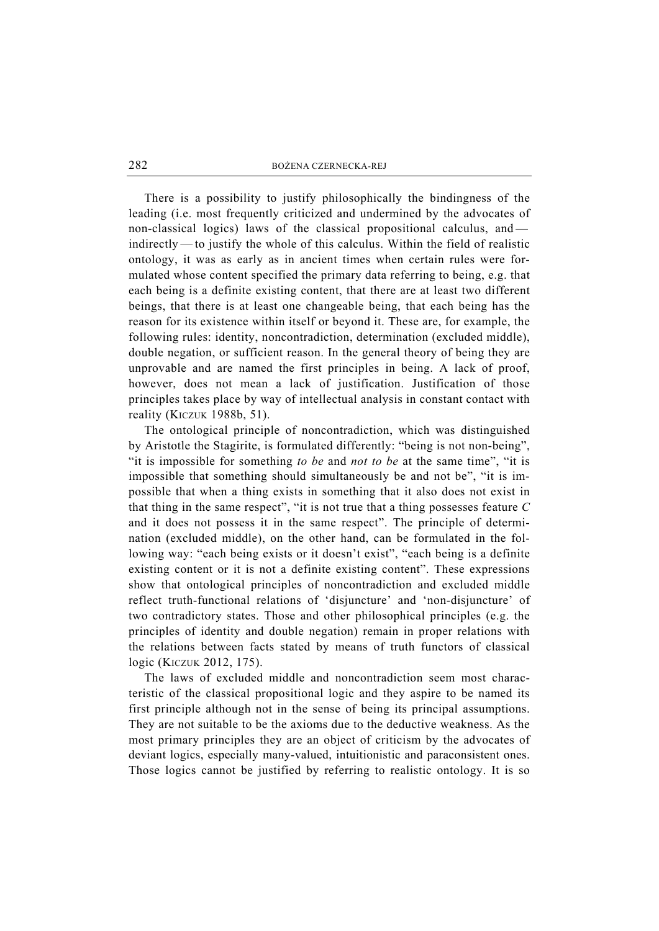There is a possibility to justify philosophically the bindingness of the leading (i.e. most frequently criticized and undermined by the advocates of non-classical logics) laws of the classical propositional calculus, and indirectly — to justify the whole of this calculus. Within the field of realistic ontology, it was as early as in ancient times when certain rules were formulated whose content specified the primary data referring to being, e.g. that each being is a definite existing content, that there are at least two different beings, that there is at least one changeable being, that each being has the reason for its existence within itself or beyond it. These are, for example, the following rules: identity, noncontradiction, determination (excluded middle), double negation, or sufficient reason. In the general theory of being they are unprovable and are named the first principles in being. A lack of proof, however, does not mean a lack of justification. Justification of those principles takes place by way of intellectual analysis in constant contact with reality (KICZUK 1988b, 51).

The ontological principle of noncontradiction, which was distinguished by Aristotle the Stagirite, is formulated differently: "being is not non-being", "it is impossible for something *to be* and *not to be* at the same time", "it is impossible that something should simultaneously be and not be", "it is impossible that when a thing exists in something that it also does not exist in that thing in the same respect", "it is not true that a thing possesses feature *C* and it does not possess it in the same respect". The principle of determination (excluded middle), on the other hand, can be formulated in the following way: "each being exists or it doesn't exist", "each being is a definite existing content or it is not a definite existing content". These expressions show that ontological principles of noncontradiction and excluded middle reflect truth-functional relations of 'disjuncture' and 'non-disjuncture' of two contradictory states. Those and other philosophical principles (e.g. the principles of identity and double negation) remain in proper relations with the relations between facts stated by means of truth functors of classical logic (KICZUK 2012, 175).

The laws of excluded middle and noncontradiction seem most characteristic of the classical propositional logic and they aspire to be named its first principle although not in the sense of being its principal assumptions. They are not suitable to be the axioms due to the deductive weakness. As the most primary principles they are an object of criticism by the advocates of deviant logics, especially many-valued, intuitionistic and paraconsistent ones. Those logics cannot be justified by referring to realistic ontology. It is so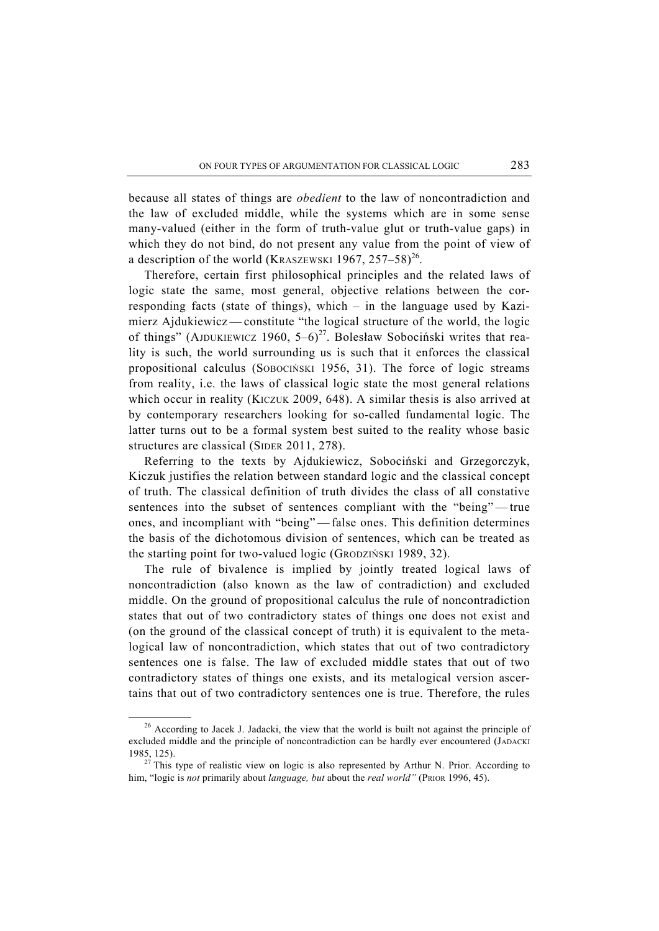because all states of things are *obedient* to the law of noncontradiction and the law of excluded middle, while the systems which are in some sense many-valued (either in the form of truth-value glut or truth-value gaps) in which they do not bind, do not present any value from the point of view of a description of the world (KRASZEWSKI 1967, 257–58)<sup>26</sup>.

Therefore, certain first philosophical principles and the related laws of logic state the same, most general, objective relations between the corresponding facts (state of things), which – in the language used by Kazimierz Ajdukiewicz — constitute "the logical structure of the world, the logic of things" (AJDUKIEWICZ 1960,  $5-6$ )<sup>27</sup>. Bolesław Sobociński writes that reality is such, the world surrounding us is such that it enforces the classical propositional calculus (SOBOCIŃSKI 1956, 31). The force of logic streams from reality, i.e. the laws of classical logic state the most general relations which occur in reality (KICZUK 2009, 648). A similar thesis is also arrived at by contemporary researchers looking for so-called fundamental logic. The latter turns out to be a formal system best suited to the reality whose basic structures are classical (SIDER 2011, 278).

Referring to the texts by Ajdukiewicz, Sobociński and Grzegorczyk, Kiczuk justifies the relation between standard logic and the classical concept of truth. The classical definition of truth divides the class of all constative sentences into the subset of sentences compliant with the "being"— true ones, and incompliant with "being" — false ones. This definition determines the basis of the dichotomous division of sentences, which can be treated as the starting point for two-valued logic (GRODZIŃSKI 1989, 32).

The rule of bivalence is implied by jointly treated logical laws of noncontradiction (also known as the law of contradiction) and excluded middle. On the ground of propositional calculus the rule of noncontradiction states that out of two contradictory states of things one does not exist and (on the ground of the classical concept of truth) it is equivalent to the metalogical law of noncontradiction, which states that out of two contradictory sentences one is false. The law of excluded middle states that out of two contradictory states of things one exists, and its metalogical version ascertains that out of two contradictory sentences one is true. Therefore, the rules

 $26$  According to Jacek J. Jadacki, the view that the world is built not against the principle of excluded middle and the principle of noncontradiction can be hardly ever encountered (JADACKI 1985, 125). 27 This type of realistic view on logic is also represented by Arthur N. Prior. According to

him, "logic is *not* primarily about *language, but* about the *real world*" (PRIOR 1996, 45).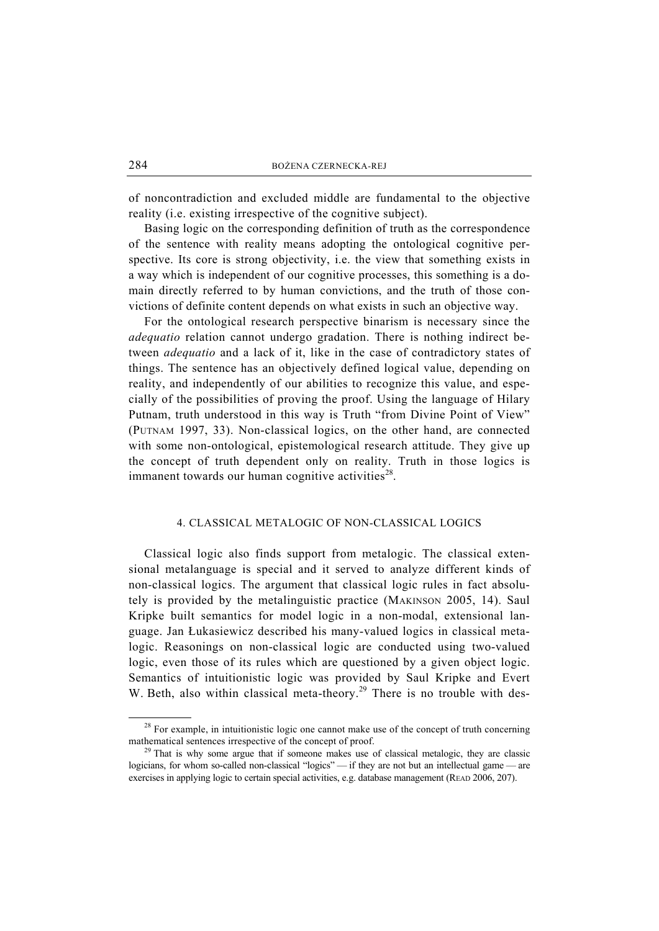of noncontradiction and excluded middle are fundamental to the objective reality (i.e. existing irrespective of the cognitive subject).

Basing logic on the corresponding definition of truth as the correspondence of the sentence with reality means adopting the ontological cognitive perspective. Its core is strong objectivity, i.e. the view that something exists in a way which is independent of our cognitive processes, this something is a domain directly referred to by human convictions, and the truth of those convictions of definite content depends on what exists in such an objective way.

For the ontological research perspective binarism is necessary since the *adequatio* relation cannot undergo gradation. There is nothing indirect between *adequatio* and a lack of it, like in the case of contradictory states of things. The sentence has an objectively defined logical value, depending on reality, and independently of our abilities to recognize this value, and especially of the possibilities of proving the proof. Using the language of Hilary Putnam, truth understood in this way is Truth "from Divine Point of View" (PUTNAM 1997, 33). Non-classical logics, on the other hand, are connected with some non-ontological, epistemological research attitude. They give up the concept of truth dependent only on reality. Truth in those logics is immanent towards our human cognitive activities<sup>28</sup>.

#### 4. CLASSICAL METALOGIC OF NON-CLASSICAL LOGICS

Classical logic also finds support from metalogic. The classical extensional metalanguage is special and it served to analyze different kinds of non-classical logics. The argument that classical logic rules in fact absolutely is provided by the metalinguistic practice (MAKINSON 2005, 14). Saul Kripke built semantics for model logic in a non-modal, extensional language. Jan Łukasiewicz described his many-valued logics in classical metalogic. Reasonings on non-classical logic are conducted using two-valued logic, even those of its rules which are questioned by a given object logic. Semantics of intuitionistic logic was provided by Saul Kripke and Evert W. Beth, also within classical meta-theory.<sup>29</sup> There is no trouble with des-

 $28$  For example, in intuitionistic logic one cannot make use of the concept of truth concerning mathematical sentences irrespective of the concept of proof.<br><sup>29</sup> That is why some argue that if someone makes use of classical metalogic, they are classic

logicians, for whom so-called non-classical "logics" — if they are not but an intellectual game — are exercises in applying logic to certain special activities, e.g. database management (READ 2006, 207).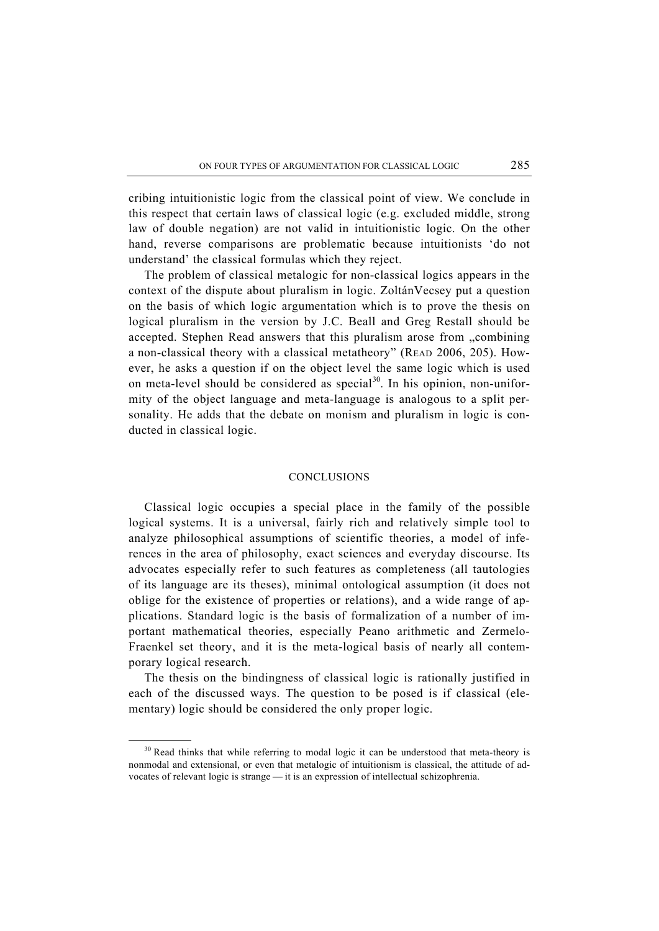cribing intuitionistic logic from the classical point of view. We conclude in this respect that certain laws of classical logic (e.g. excluded middle, strong law of double negation) are not valid in intuitionistic logic. On the other hand, reverse comparisons are problematic because intuitionists 'do not understand' the classical formulas which they reject.

The problem of classical metalogic for non-classical logics appears in the context of the dispute about pluralism in logic. ZoltánVecsey put a question on the basis of which logic argumentation which is to prove the thesis on logical pluralism in the version by J.C. Beall and Greg Restall should be accepted. Stephen Read answers that this pluralism arose from "combining a non-classical theory with a classical metatheory" (READ 2006, 205). However, he asks a question if on the object level the same logic which is used on meta-level should be considered as special<sup>30</sup>. In his opinion, non-uniformity of the object language and meta-language is analogous to a split personality. He adds that the debate on monism and pluralism in logic is conducted in classical logic.

#### CONCLUSIONS

Classical logic occupies a special place in the family of the possible logical systems. It is a universal, fairly rich and relatively simple tool to analyze philosophical assumptions of scientific theories, a model of inferences in the area of philosophy, exact sciences and everyday discourse. Its advocates especially refer to such features as completeness (all tautologies of its language are its theses), minimal ontological assumption (it does not oblige for the existence of properties or relations), and a wide range of applications. Standard logic is the basis of formalization of a number of important mathematical theories, especially Peano arithmetic and Zermelo-Fraenkel set theory, and it is the meta-logical basis of nearly all contemporary logical research.

The thesis on the bindingness of classical logic is rationally justified in each of the discussed ways. The question to be posed is if classical (elementary) logic should be considered the only proper logic.

 $30$  Read thinks that while referring to modal logic it can be understood that meta-theory is nonmodal and extensional, or even that metalogic of intuitionism is classical, the attitude of advocates of relevant logic is strange — it is an expression of intellectual schizophrenia.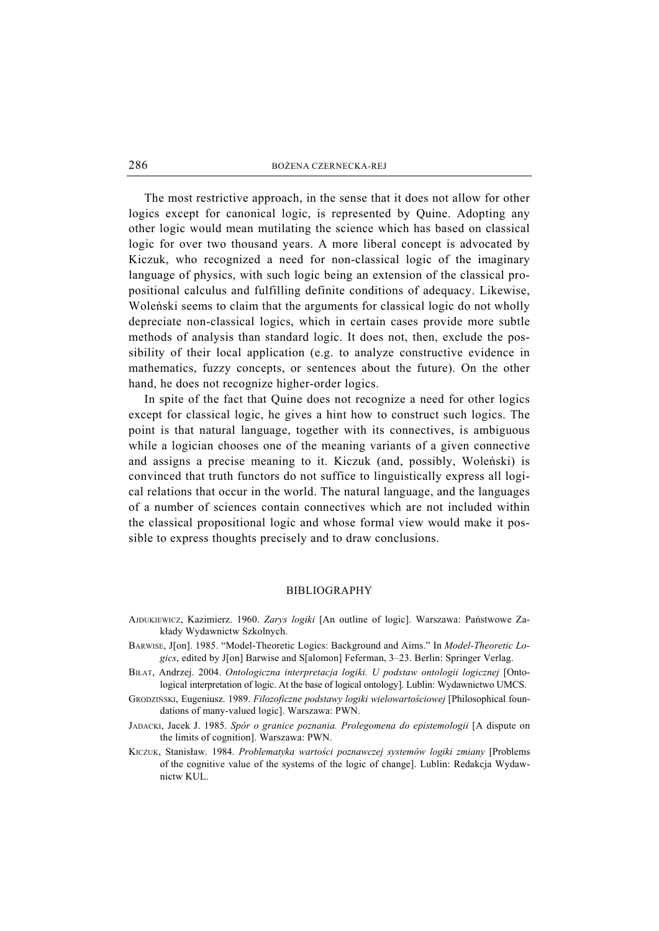The most restrictive approach, in the sense that it does not allow for other logics except for canonical logic, is represented by Quine. Adopting any other logic would mean mutilating the science which has based on classical logic for over two thousand years. A more liberal concept is advocated by Kiczuk, who recognized a need for non-classical logic of the imaginary language of physics, with such logic being an extension of the classical propositional calculus and fulfilling definite conditions of adequacy. Likewise, Woleński seems to claim that the arguments for classical logic do not wholly depreciate non-classical logics, which in certain cases provide more subtle methods of analysis than standard logic. It does not, then, exclude the possibility of their local application (e.g. to analyze constructive evidence in mathematics, fuzzy concepts, or sentences about the future). On the other hand, he does not recognize higher-order logics.

In spite of the fact that Quine does not recognize a need for other logics except for classical logic, he gives a hint how to construct such logics. The point is that natural language, together with its connectives, is ambiguous while a logician chooses one of the meaning variants of a given connective and assigns a precise meaning to it. Kiczuk (and, possibly, Woleński) is convinced that truth functors do not suffice to linguistically express all logical relations that occur in the world. The natural language, and the languages of a number of sciences contain connectives which are not included within the classical propositional logic and whose formal view would make it possible to express thoughts precisely and to draw conclusions.

#### BIBLIOGRAPHY

- AJDUKIEWICZ, Kazimierz. 1960. *Zarys logiki* [An outline of logic]. Warszawa: Państwowe Zakłady Wydawnictw Szkolnych.
- BARWISE, J[on]. 1985. "Model-Theoretic Logics: Background and Aims." In *Model-Theoretic Logics*, edited by J[on] Barwise and S[alomon] Feferman, 3–23. Berlin: Springer Verlag.
- BIŁAT, Andrzej. 2004. *Ontologiczna interpretacja logiki. U podstaw ontologii logicznej* [Ontological interpretation of logic. At the base of logical ontology]. Lublin: Wydawnictwo UMCS.
- GRODZIŃSKI, Eugeniusz. 1989. *Filozoficzne podstawy logiki wielowartościowej* [Philosophical foundations of many-valued logic]. Warszawa: PWN.
- JADACKI, Jacek J. 1985. *Spór o granice poznania. Prolegomena do epistemologii* [A dispute on the limits of cognition]. Warszawa: PWN.
- KICZUK, Stanisław. 1984. *Problematyka wartości poznawczej systemów logiki zmiany* [Problems of the cognitive value of the systems of the logic of change]. Lublin: Redakcja Wydawnictw KUL.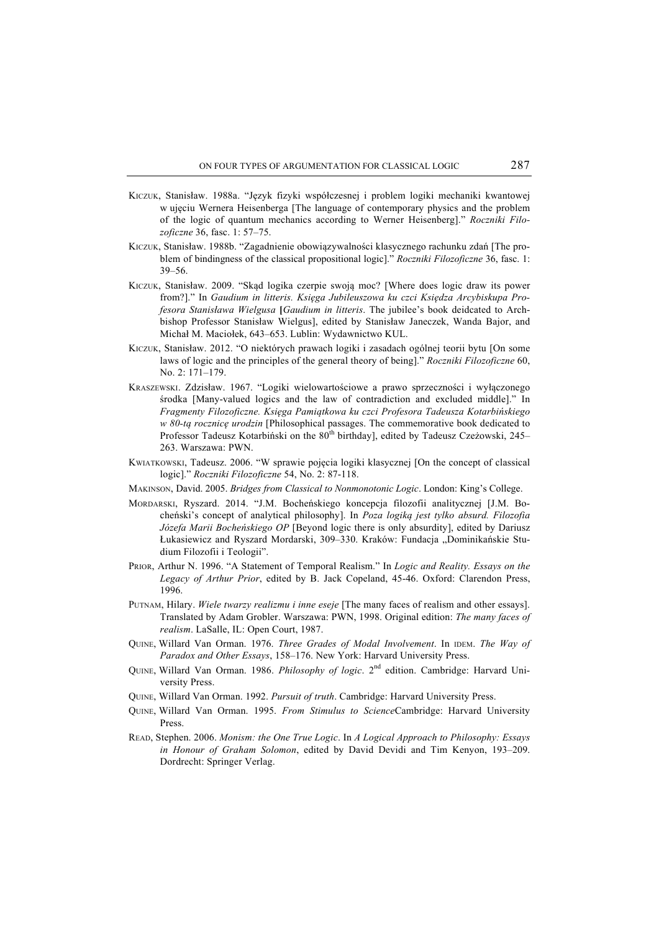- KICZUK, Stanisław. 1988a. "Język fizyki współczesnej i problem logiki mechaniki kwantowej w ujęciu Wernera Heisenberga [The language of contemporary physics and the problem of the logic of quantum mechanics according to Werner Heisenberg]." *Roczniki Filozoficzne* 36, fasc. 1: 57–75.
- KICZUK, Stanisław. 1988b. "Zagadnienie obowiązywalności klasycznego rachunku zdań [The problem of bindingness of the classical propositional logic]." *Roczniki Filozoficzne* 36, fasc. 1: 39–56.
- KICZUK, Stanisław. 2009. "Skąd logika czerpie swoją moc? [Where does logic draw its power from?]." In *Gaudium in litteris. Księga Jubileuszowa ku czci Księdza Arcybiskupa Profesora Stanisława Wielgusa* **[***Gaudium in litteris*. The jubilee's book deidcated to Archbishop Professor Stanisław Wielgus], edited by Stanisław Janeczek, Wanda Bajor, and Michał M. Maciołek, 643–653. Lublin: Wydawnictwo KUL.
- KICZUK, Stanisław. 2012. "O niektórych prawach logiki i zasadach ogólnej teorii bytu [On some laws of logic and the principles of the general theory of being]." *Roczniki Filozoficzne* 60, No. 2: 171–179.
- KRASZEWSKI. Zdzisław. 1967. "Logiki wielowartościowe a prawo sprzeczności i wyłączonego środka [Many-valued logics and the law of contradiction and excluded middle]." In *Fragmenty Filozoficzne. Księga Pamiątkowa ku czci Profesora Tadeusza Kotarbińskiego w 80-tą rocznicę urodzin* [Philosophical passages. The commemorative book dedicated to Professor Tadeusz Kotarbiński on the 80<sup>th</sup> birthday], edited by Tadeusz Czeżowski, 245– 263. Warszawa: PWN.
- KWIATKOWSKI, Tadeusz. 2006. "W sprawie pojęcia logiki klasycznej [On the concept of classical logic]." *Roczniki Filozoficzne* 54, No. 2: 87-118.
- MAKINSON, David. 2005. *Bridges from Classical to Nonmonotonic Logic*. London: King's College.
- MORDARSKI, Ryszard. 2014. "J.M. Bocheńskiego koncepcja filozofii analitycznej [J.M. Bocheński's concept of analytical philosophy]. In *Poza logiką jest tylko absurd. Filozofia Józefa Marii Bocheńskiego OP* [Beyond logic there is only absurdity], edited by Dariusz Łukasiewicz and Ryszard Mordarski, 309–330. Kraków: Fundacja "Dominikańskie Studium Filozofii i Teologii".
- PRIOR, Arthur N. 1996. "A Statement of Temporal Realism." In *Logic and Reality. Essays on the Legacy of Arthur Prior*, edited by B. Jack Copeland, 45-46. Oxford: Clarendon Press, 1996.
- PUTNAM, Hilary. *Wiele twarzy realizmu i inne eseje* [The many faces of realism and other essays]. Translated by Adam Grobler. Warszawa: PWN, 1998. Original edition: *The many faces of realism*. LaSalle, IL: Open Court, 1987.
- QUINE, Willard Van Orman. 1976. *Three Grades of Modal Involvement*. In IDEM. *The Way of Paradox and Other Essays*, 158–176. New York: Harvard University Press.
- QUINE, Willard Van Orman. 1986. *Philosophy of logic*. 2nd edition. Cambridge: Harvard University Press.
- QUINE, Willard Van Orman. 1992. *Pursuit of truth*. Cambridge: Harvard University Press.
- QUINE, Willard Van Orman. 1995. *From Stimulus to Science*Cambridge: Harvard University Press.
- READ, Stephen. 2006. *Monism: the One True Logic*. In *A Logical Approach to Philosophy: Essays in Honour of Graham Solomon*, edited by David Devidi and Tim Kenyon, 193–209. Dordrecht: Springer Verlag.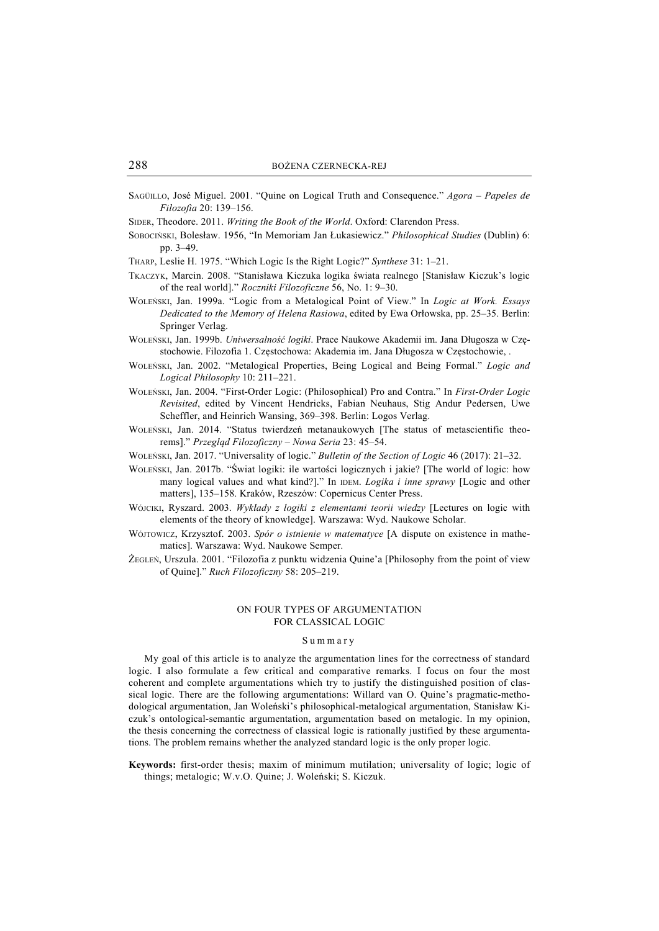SAGÜILLO, José Miguel. 2001. "Quine on Logical Truth and Consequence." *Agora – Papeles de Filozofia* 20: 139–156.

SIDER, Theodore. 2011. *Writing the Book of the World*. Oxford: Clarendon Press.

- SOBOCIŃSKI, Bolesław. 1956, "In Memoriam Jan Łukasiewicz." *Philosophical Studies* (Dublin) 6: pp. 3–49.
- THARP, Leslie H. 1975. "Which Logic Is the Right Logic?" *Synthese* 31: 1–21.
- TKACZYK, Marcin. 2008. "Stanisława Kiczuka logika świata realnego [Stanisław Kiczuk's logic of the real world]." *Roczniki Filozoficzne* 56, No. 1: 9–30.
- WOLEŃSKI, Jan. 1999a. "Logic from a Metalogical Point of View." In *Logic at Work. Essays Dedicated to the Memory of Helena Rasiowa*, edited by Ewa Orłowska, pp. 25–35. Berlin: Springer Verlag.
- WOLEŃSKI, Jan. 1999b. *Uniwersalność logiki*. Prace Naukowe Akademii im. Jana Długosza w Częstochowie. Filozofia 1. Częstochowa: Akademia im. Jana Długosza w Częstochowie, .
- WOLEŃSKI, Jan. 2002. "Metalogical Properties, Being Logical and Being Formal." *Logic and Logical Philosophy* 10: 211–221.
- WOLEŃSKI, Jan. 2004. "First-Order Logic: (Philosophical) Pro and Contra." In *First-Order Logic Revisited*, edited by Vincent Hendricks, Fabian Neuhaus, Stig Andur Pedersen, Uwe Scheffler, and Heinrich Wansing, 369–398. Berlin: Logos Verlag.
- WOLEŃSKI, Jan. 2014. "Status twierdzeń metanaukowych [The status of metascientific theorems]." *Przegląd Filozoficzny – Nowa Seria* 23: 45–54.
- WOLEŃSKI, Jan. 2017. "Universality of logic." *Bulletin of the Section of Logic* 46 (2017): 21–32.
- WOLEŃSKI, Jan. 2017b. "Świat logiki: ile wartości logicznych i jakie? [The world of logic: how many logical values and what kind?]." In IDEM. *Logika i inne sprawy* [Logic and other matters], 135–158. Kraków, Rzeszów: Copernicus Center Press.
- WÓJCIKI, Ryszard. 2003. *Wykłady z logiki z elementami teorii wiedzy* [Lectures on logic with elements of the theory of knowledge]. Warszawa: Wyd. Naukowe Scholar.
- WÓJTOWICZ, Krzysztof. 2003. *Spór o istnienie w matematyce* [A dispute on existence in mathematics]. Warszawa: Wyd. Naukowe Semper.
- ŻEGLEŃ, Urszula. 2001. "Filozofia z punktu widzenia Quine'a [Philosophy from the point of view of Quine]." *Ruch Filozoficzny* 58: 205–219.

#### ON FOUR TYPES OF ARGUMENTATION FOR CLASSICAL LOGIC

#### Summary

My goal of this article is to analyze the argumentation lines for the correctness of standard logic. I also formulate a few critical and comparative remarks. I focus on four the most coherent and complete argumentations which try to justify the distinguished position of classical logic. There are the following argumentations: Willard van O. Quine's pragmatic-methodological argumentation, Jan Woleński's philosophical-metalogical argumentation, Stanisław Kiczuk's ontological-semantic argumentation, argumentation based on metalogic. In my opinion, the thesis concerning the correctness of classical logic is rationally justified by these argumentations. The problem remains whether the analyzed standard logic is the only proper logic.

**Keywords:** first-order thesis; maxim of minimum mutilation; universality of logic; logic of things; metalogic; W.v.O. Quine; J. Woleński; S. Kiczuk.